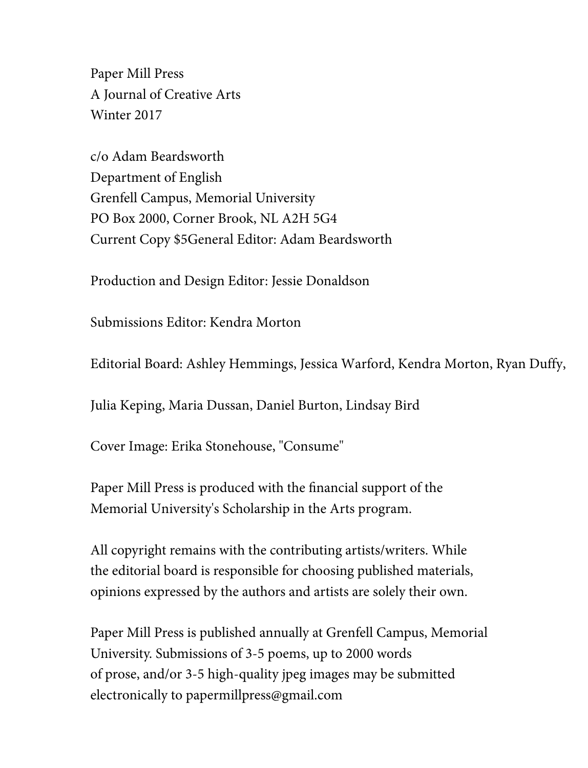Paper Mill Press A Journal of Creative Arts Winter 2017

c/o Adam Beardsworth Department of English Grenfell Campus, Memorial University PO Box 2000, Corner Brook, NL A2H 5G4 Current Copy \$5General Editor: Adam Beardsworth

Production and Design Editor: Jessie Donaldson

Submissions Editor: Kendra Morton

Editorial Board: Ashley Hemmings, Jessica Warford, Kendra Morton, Ryan Duffy,

Julia Keping, Maria Dussan, Daniel Burton, Lindsay Bird

Cover Image: Erika Stonehouse, "Consume"

Paper Mill Press is produced with the financial support of the Memorial University's Scholarship in the Arts program.

All copyright remains with the contributing artists/writers. While the editorial board is responsible for choosing published materials, opinions expressed by the authors and artists are solely their own.

Paper Mill Press is published annually at Grenfell Campus, Memorial University. Submissions of 3-5 poems, up to 2000 words of prose, and/or 3-5 high-quality jpeg images may be submitted electronically to papermillpress@gmail.com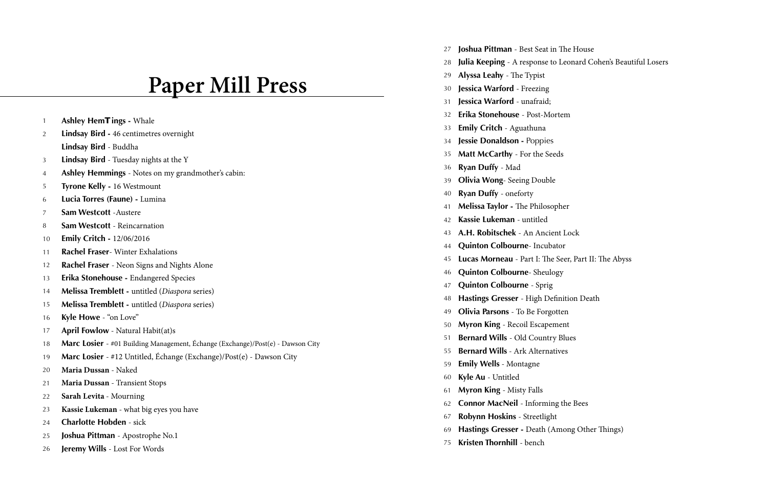# **Paper Mill Press**

- **Ashley Hem Tings** Whale  $\overline{1}$
- 12345678 **Lindsay Bird -** 46 centimetres overnight 2 **Lindsay Bird** - Buddha
- **Lindsay Bird**  Tuesday nights at the Y 3
- **Ashley Hemmings**  Notes on my grandmother's cabin:  $\overline{4}$
- **Tyrone Kelly** 16 Westmount -5
- **Lucia Torres (Faune) -** Lumina 6
- **Sam Westcott** -Austere 7
- **Sam Westcott**  Reincarnation -8
- **Emily Critch** 12/06/2016 10
- **Rachel Fraser** Winter Exhalations 11
- **Rachel Fraser**  Neon Signs and Nights Alone 12
- **Erika Stonehouse** Endangered Species 13
- **Melissa Tremblett** untitled (*Diaspora* series) 14
- **Melissa Tremblett** untitled (*Diaspora* series) 15
- **Kyle Howe**  "on Love" 16
- **April Fowlow** Natural Habit(at)s 17
- **Marc Losier**  #01 Building Management, Échange (Exchange)/Post(e) Dawson City 18
- **Marc Losier**  #12 Untitled, Échange (Exchange)/Post(e) Dawson City 19
- **Maria Dussan** Naked 20
- **Maria Dussan** Transient Stops 21
- **Sarah Levita**  Mourning 22
- **Kassie Lukeman** what big eyes you have 23
- **Charlotte Hobden**  sick 24
- **Joshua Pittman**  Apostrophe No.1 25
- **Jeremy Wills**  Lost For Words 26
- **Joshua Pittman**  Best Seat in The House 27
- **Julia Keeping**  A response to Leonard Cohen's Beautiful Losers 28
- **Alyssa Leahy**  The Typist 29
- **Jessica Warford**  Freezing 30
- **Jessica Warford**  unafraid; 31
- **Erika Stonehouse**  Post-Mortem 32
- **Emily Critch**  Aguathuna 33
- **Jessie Donaldson** Poppies 34
- **Matt McCarthy**  For the Seeds 35
- **Ryan Duffy**  Mad 36
- **Olivia Wong** Seeing Double 39
- **Ryan Duffy**  oneforty 40
- **Melissa Taylor** The Philosopher 41
- **Kassie Lukeman**  untitled 42
- **A.H. Robitschek**  An Ancient Lock 43
- **Quinton Colbourne** Incubator 44
- **Lucas Morneau**  Part I: The Seer, Part II: The Abyss 45
- **Quinton Colbourne** Sheulogy 46
- **Quinton Colbourne**  Sprig 47
- **Hastings Gresser**  High Definition Death 48
- **Olivia Parsons**  To Be Forgotten 49
- **Myron King**  Recoil Escapement 50
- **Bernard Wills**  Old Country Blues 51
- **Bernard Wills** Ark Alternatives 55
- **Emily Wells** Montagne 59
- **Kyle Au**  Untitled 60
- **Myron King**  Misty Falls 61
- **Connor MacNeil**  Informing the Bees 62
- **Robynn Hoskins**  Streetlight 67
- **Hastings Gresser** Death (Among Other Things) 69
- **Kristen Thornhill**  bench 75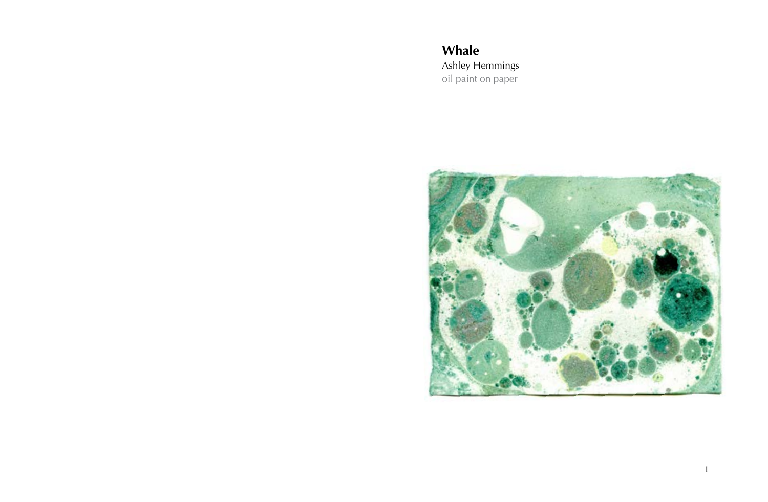**Whale** Ashley Hemmings oil paint on paper

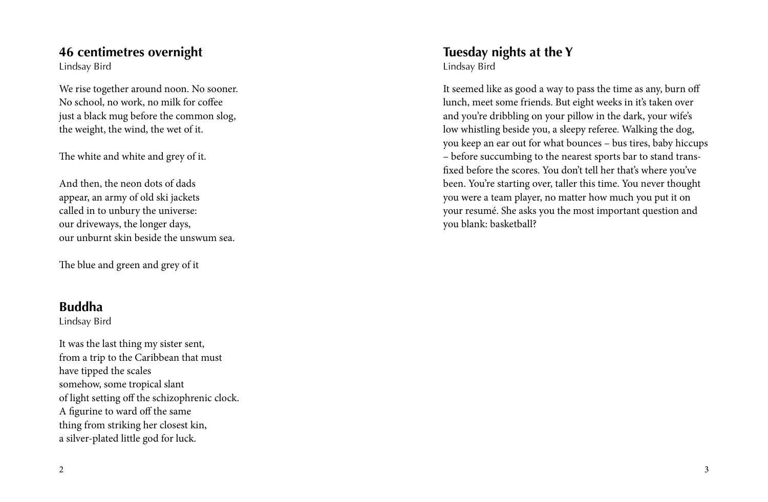#### **46 centimetres overnight**

Lindsay Bird

We rise together around noon. No sooner. No school, no work, no milk for coffee just a black mug before the common slog, the weight, the wind, the wet of it.

The white and white and grey of it.

And then, the neon dots of dads appear, an army of old ski jackets called in to unbury the universe: our driveways, the longer days, our unburnt skin beside the unswum sea.

The blue and green and grey of it

### **Buddha**

Lindsay Bird

It was the last thing my sister sent, from a trip to the Caribbean that must have tipped the scales somehow, some tropical slant of light setting off the schizophrenic clock. A figurine to ward off the same thing from striking her closest kin, a silver-plated little god for luck.

**Tuesday nights at the Y** Lindsay Bird

It seemed like as good a way to pass the time as any, burn off lunch, meet some friends. But eight weeks in it's taken over and you're dribbling on your pillow in the dark, your wife's low whistling beside you, a sleepy referee. Walking the dog, you keep an ear out for what bounces – bus tires, baby hiccups – before succumbing to the nearest sports bar to stand transfixed before the scores. You don't tell her that's where you've been. You're starting over, taller this time. You never thought you were a team player, no matter how much you put it on your resumé. She asks you the most important question and you blank: basketball?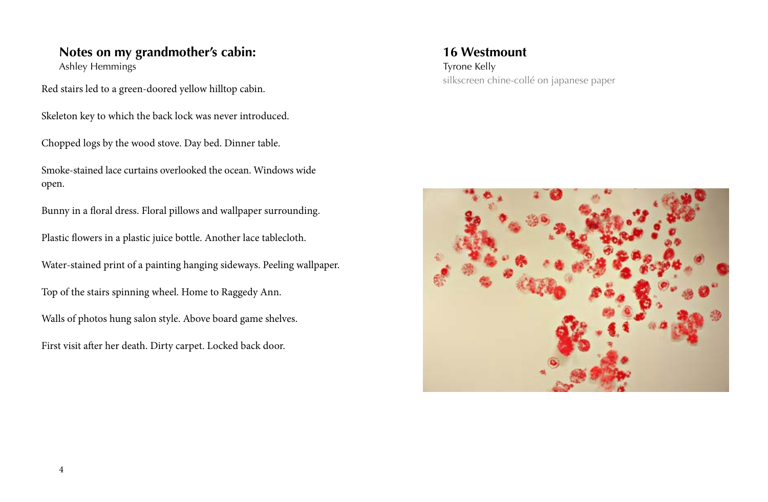# **Notes on my grandmother's cabin:**

Ashley Hemmings

Red stairs led to a green-doored yellow hilltop cabin.

Skeleton key to which the back lock was never introduced.

Chopped logs by the wood stove. Day bed. Dinner table.

Smoke-stained lace curtains overlooked the ocean. Windows wide open.

Bunny in a floral dress. Floral pillows and wallpaper surrounding.

Plastic flowers in a plastic juice bottle. Another lace tablecloth.

Water-stained print of a painting hanging sideways. Peeling wallpaper.

Top of the stairs spinning wheel. Home to Raggedy Ann.

Walls of photos hung salon style. Above board game shelves.

First visit after her death. Dirty carpet. Locked back door.

**16 Westmount** silkscreen chine-collé on japanese paper Tyrone Kelly

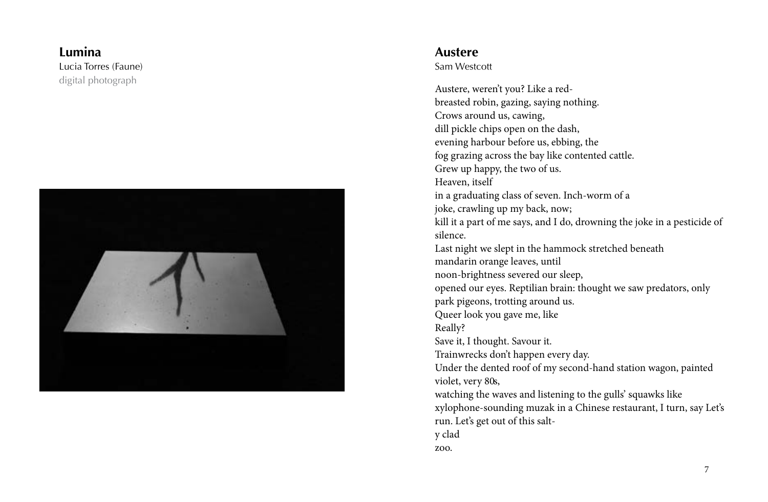#### digital photograph Lucia Torres (Faune) **Lumina**



#### **Austere**

Sam Westcott

Austere, weren't you? Like a redbreasted robin, gazing, saying nothing. Crows around us, cawing, dill pickle chips open on the dash, evening harbour before us, ebbing, the fog grazing across the bay like contented cattle. Grew up happy, the two of us. Heaven, itself in a graduating class of seven. Inch-worm of a joke, crawling up my back, now; kill it a part of me says, and I do, drowning the joke in a pesticide of silence. Last night we slept in the hammock stretched beneath mandarin orange leaves, until noon-brightness severed our sleep, opened our eyes. Reptilian brain: thought we saw predators, only park pigeons, trotting around us. Queer look you gave me, like Really? Save it, I thought. Savour it. Trainwrecks don't happen every day. Under the dented roof of my second-hand station wagon, painted violet, very 80s, watching the waves and listening to the gulls' squawks like xylophone-sounding muzak in a Chinese restaurant, I turn, say Let's run. Let's get out of this salty clad zoo.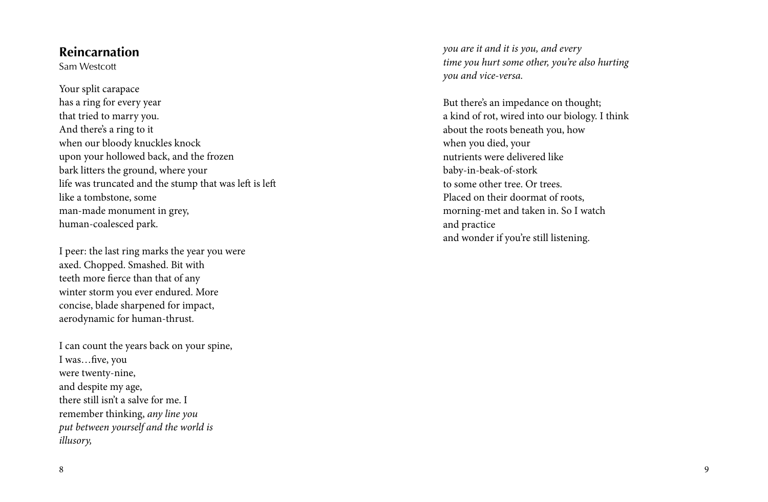#### **Reincarnation**

Sam Westcott

Your split carapace has a ring for every year that tried to marry you. And there's a ring to it when our bloody knuckles knock upon your hollowed back, and the frozen bark litters the ground, where your life was truncated and the stump that was left is left like a tombstone, some man -made monument in grey, human-coalesced park.

I peer: the last ring marks the year you were axed. Chopped. Smashed. Bit with teeth more fierce than that of any winter storm you ever endured. More concise, blade sharpened for impact, aerodynamic for human-thrust.

I can count the years back on your spine, I was…five, you were twenty-nine, and despite my age, there still isn't a salve for me. I remember thinking, *any line you put between yourself and the world is illusory,*

*you are it and it is you, and every time you hurt some other, you're also hurting you and vice-versa.*

But there's an impedance on thought; a kind of rot, wired into our biology. I think about the roots beneath you, how when you died, your nutrients were delivered like baby-in-beak-of-stork to some other tree. Or trees. Placed on their doormat of roots, morning-met and taken in. So I watch and practice and wonder if you're still listening.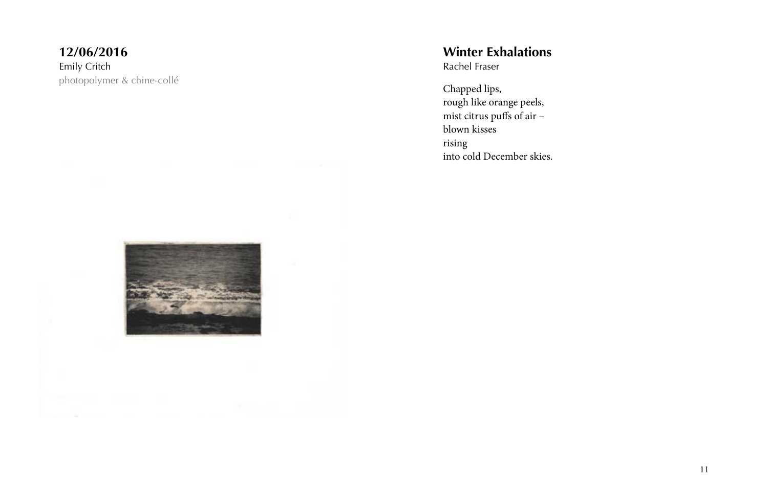#### photopolymer & chine-collé Emily Critch **12/06/2016**



Chapped lips, rough like orange peels, mist citrus puffs of air – blown kisses rising into cold December skies.

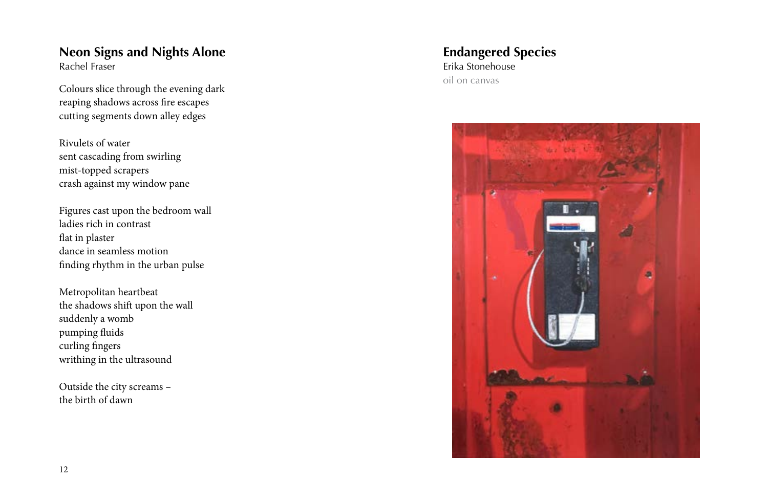#### Rachel Fraser **Neon Signs and Nights Alone**

Colours slice through the evening dark reaping shadows across fire escapes cutting segments down alley edges

Rivulets of water sent cascading from swirling mist-topped scrapers crash against my window pane

Figures cast upon the bedroom wall ladies rich in contrast flat in plaster dance in seamless motion finding rhythm in the urban pulse

Metropolitan heartbeat the shadows shift upon the wall suddenly a womb pumping fluids curling fingers writhing in the ultrasound

Outside the city screams – the birth of dawn

#### oil on canvas Erika Stonehouse **Endangered Species**

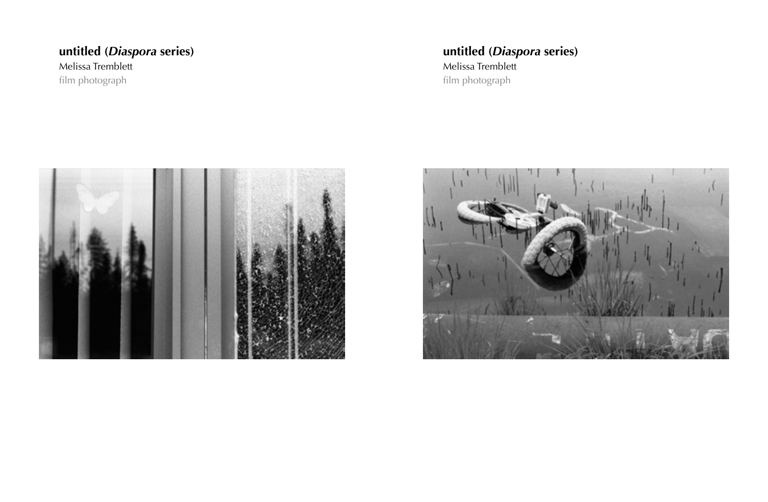### film photograph Melissa Tremblett **untitled (***Diaspora* **series)**

### film photograph Melissa Tremblett **untitled (***Diaspora* **series)**



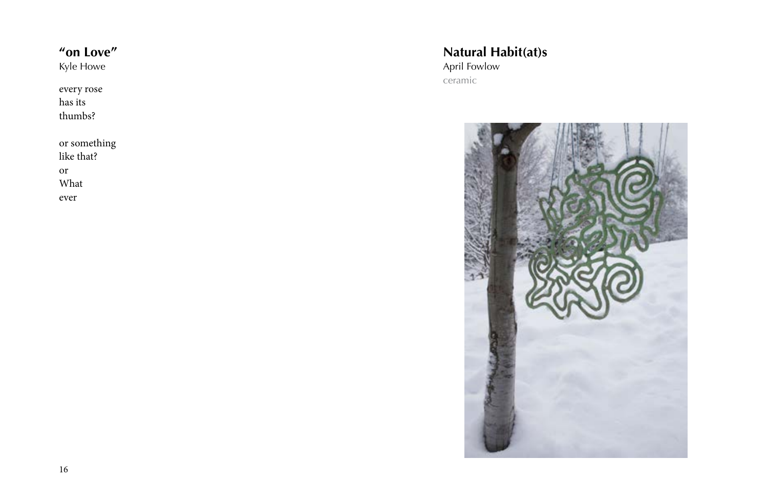## **"on Love"**

Kyle Howe

every rose has its thumbs?

or something like that? or What ever

#### ceramic April Fowlow **Natural Habit(at)s**

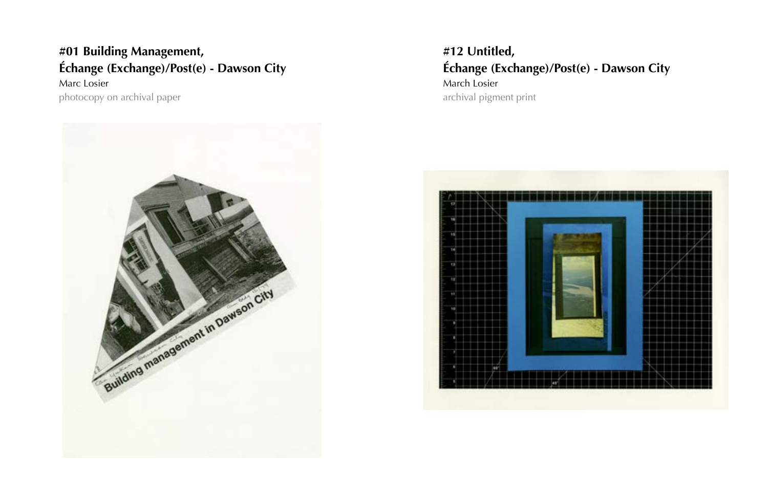### Marc Losier **Échange (Exchange)/Post(e) - Dawson City #01 Building Management, #12 Untitled,**



**Échange (Exchange)/Post(e) - Dawson City** March Losier photocopy on archival paper archival paper archival pigment print

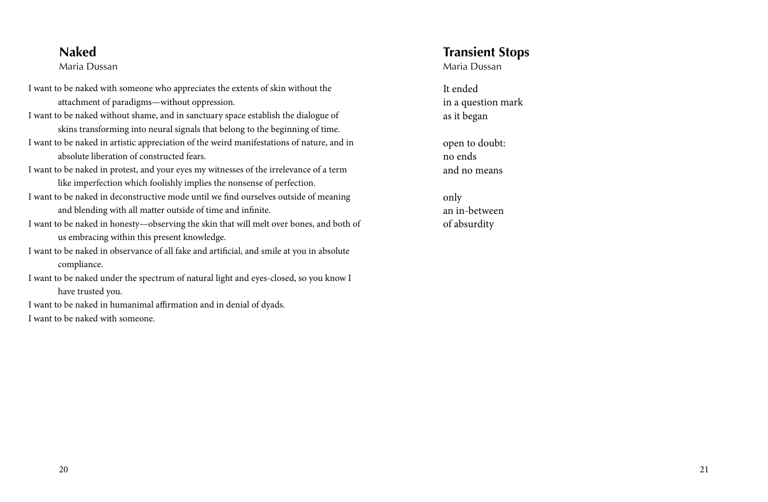#### **Naked**

#### Maria Dussan

- I want to be naked with someone who appreciates the extents of skin without the attachment of paradigms—without oppression.
- I want to be naked without shame, and in sanctuary space establish the dialogue of skins transforming into neural signals that belong to the beginning of time. I want to be naked in artistic appreciation of the weird manifestations of nature, and in absolute liberation of constructed fears.
- I want to be naked in protest, and your eyes my witnesses of the irrelevance of a term like imperfection which foolishly implies the nonsense of perfection.
- I want to be naked in deconstructive mode until we find ourselves outside of meaning and blending with all matter outside of time and infinite.
- I want to be naked in honesty—observing the skin that will melt over bones, and both of us embracing within this present knowledge.
- I want to be naked in observance of all fake and artificial, and smile at you in absolute compliance.
- I want to be naked under the spectrum of natural light and eyes-closed, so you know I have trusted you.
- I want to be naked in humanimal affirmation and in denial of dyads. I want to be naked with someone.

# **Transient Stops**

Maria Dussan

It ended in a question mark as it began

open to doubt: no ends and no means

only an in-between of absurdity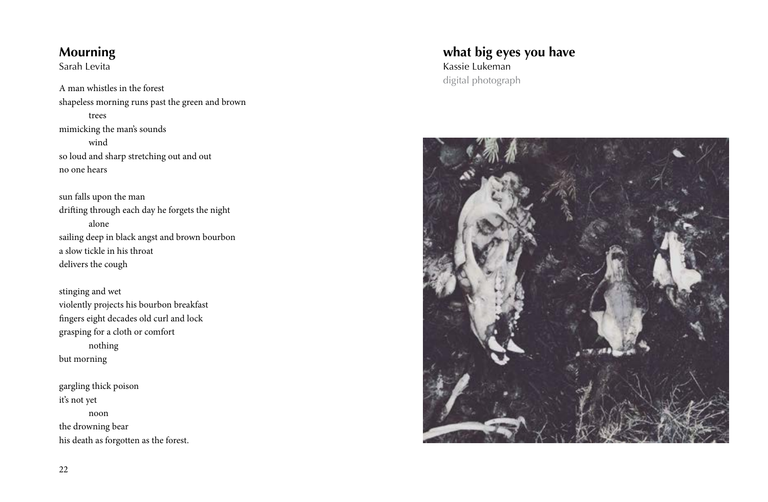# **Mourning**

Sarah Levita

A man whistles in the forest shapeless morning runs past the green and brown trees mimicking the man's sounds wind so loud and sharp stretching out and out no one hears

sun falls upon the man drifting through each day he forgets the night alone sailing deep in black angst and brown bourbon a slow tickle in his throat delivers the cough

stinging and wet violently projects his bourbon breakfast fingers eight decades old curl and lock grasping for a cloth or comfort nothing but morning

gargling thick poison it's not yet noon the drowning bear his death as forgotten as the forest.

#### digital photograph Kassie Lukeman **what big eyes you have**

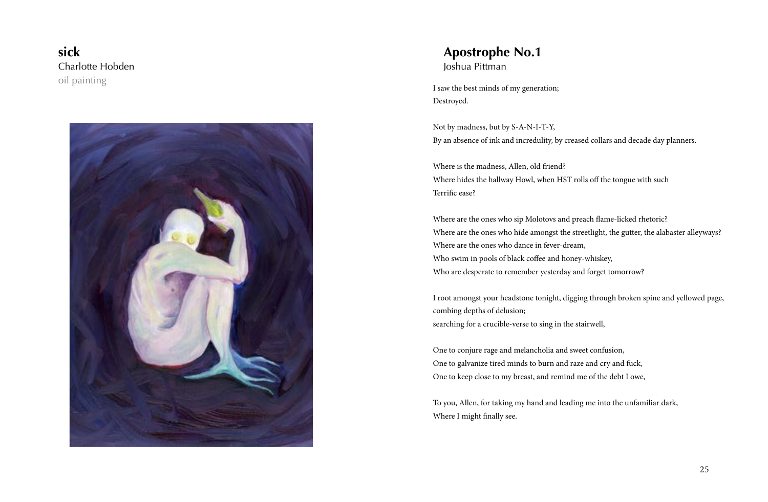oil painting Charlotte Hobden **sick**



#### Joshua Pittman **Apostrophe No.1**

I saw the best minds of my generation; Destroyed.

Not by madness, but by S-A-N-I-T-Y, By an absence of ink and incredulity, by creased collars and decade day planners.

Where is the madness, Allen, old friend? Where hides the hallway Howl, when HST rolls off the tongue with such Terrific ease?

Where are the ones who sip Molotovs and preach flame-licked rhetoric? Where are the ones who hide amongst the streetlight, the gutter, the alabaster alleyways? Where are the ones who dance in fever-dream, Who swim in pools of black coffee and honey-whiskey, Who are desperate to remember yesterday and forget tomorrow?

I root amongst your headstone tonight, digging through broken spine and yellowed page, combing depths of delusion; searching for a crucible-verse to sing in the stairwell,

One to conjure rage and melancholia and sweet confusion, One to galvanize tired minds to burn and raze and cry and fuck, One to keep close to my breast, and remind me of the debt I owe,

To you, Allen, for taking my hand and leading me into the unfamiliar dark, Where I might finally see.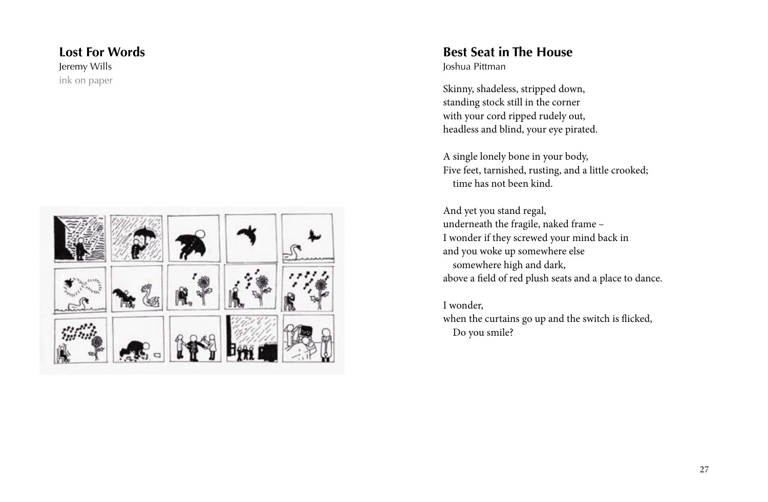#### ink on paper Jeremy Wills **Lost For Words**



#### Joshua Pittman **Best Seat in The House**

Skinny, shadeless, stripped down, standing stock still in the corner with your cord ripped rudely out, headless and blind, your eye pirated.

A single lonely bone in your body, Five feet, tarnished, rusting, and a little crooked; time has not been kind.

And yet you stand regal, underneath the fragile, naked frame – I wonder if they screwed your mind back in and you woke up somewhere else somewhere high and dark, above a field of red plush seats and a place to dance.

I wonder,

when the curtains go up and the switch is flicked, Do you smile?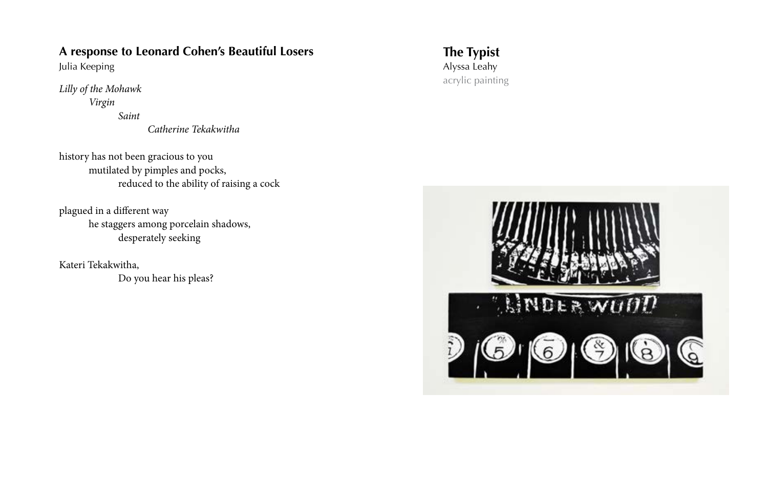#### **A response to Leonard Cohen's Beautiful Losers**

Julia Keeping

*Lilly of the Mohawk Virgin*

 *Saint*

 *Catherine Tekakwitha*

history has not been gracious to you mutilated by pimples and pocks, reduced to the ability of raising a cock

plagued in a different way he staggers among porcelain shadows, desperately seeking

Kateri Tekakwitha, Do you hear his pleas? acrylic painting Alyssa Leahy **The Typist**

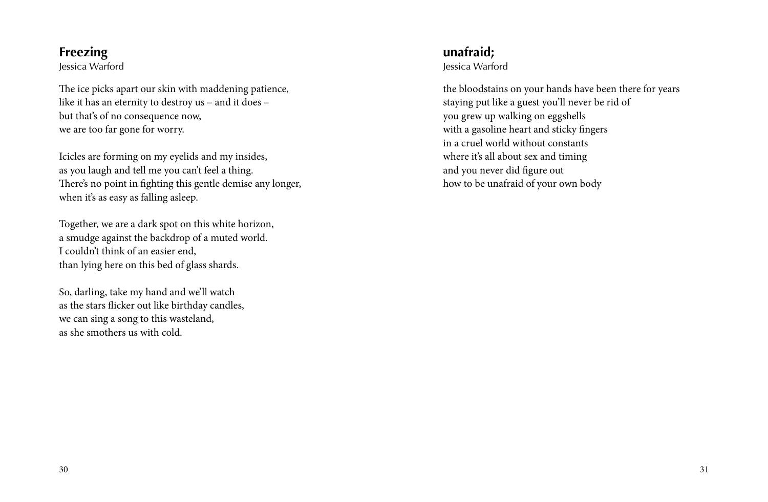## **Freezing**

Jessica Warford

The ice picks apart our skin with maddening patience, like it has an eternity to destroy us – and it does – but that's of no consequence now, we are too far gone for worry.

Icicles are forming on my eyelids and my insides, as you laugh and tell me you can't feel a thing. There's no point in fighting this gentle demise any longer, when it's as easy as falling asleep.

Together, we are a dark spot on this white horizon, a smudge against the backdrop of a muted world. I couldn't think of an easier end, than lying here on this bed of glass shards.

So, darling, take my hand and we'll watch as the stars flicker out like birthday candles, we can sing a song to this wasteland, as she smothers us with cold.

**unafraid;**

Jessica Warford

the bloodstains on your hands have been there for years staying put like a guest you'll never be rid of you grew up walking on eggshells with a gasoline heart and sticky fingers in a cruel world without constants where it's all about sex and timing and you never did figure out how to be unafraid of your own body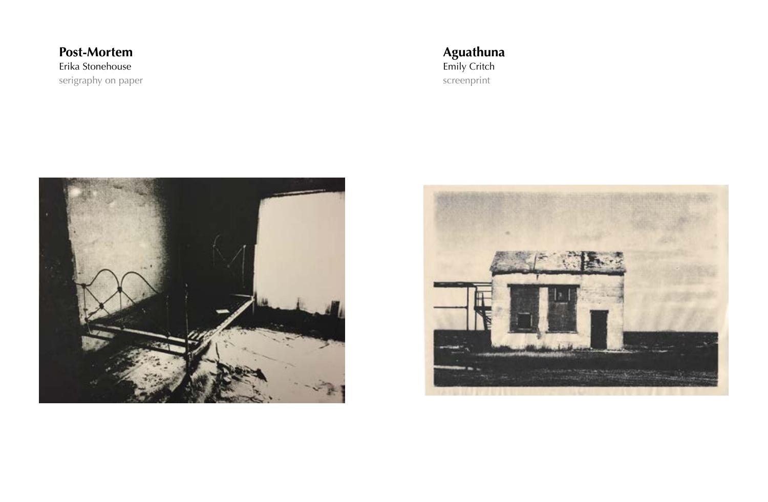serigraphy on paper Erika Stonehouse **Post-Mortem**

screenprint Emily Critch **Aguathuna**



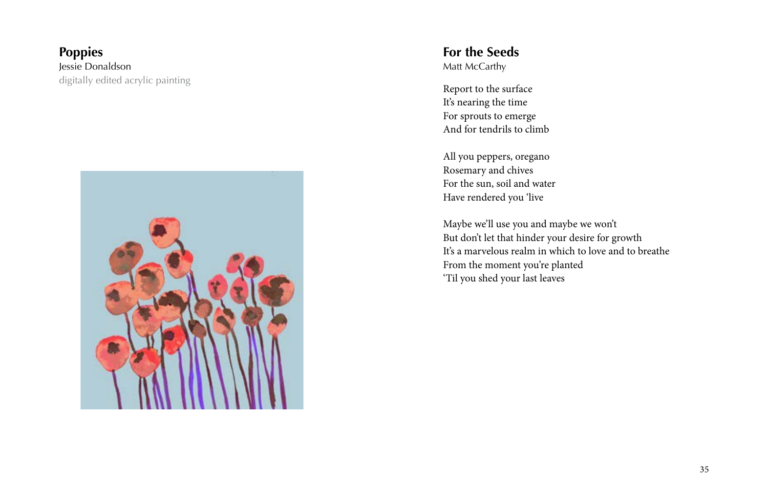#### digitally edited acrylic painting Jessie Donaldson **Poppies**



#### **For the Seeds** Matt McCarthy

Report to the surface It's nearing the time For sprouts to emerge And for tendrils to climb

All you peppers, oregano Rosemary and chives For the sun, soil and water Have rendered you 'live

Maybe we'll use you and maybe we won't But don't let that hinder your desire for growth It's a marvelous realm in which to love and to breathe From the moment you're planted 'Til you shed your last leaves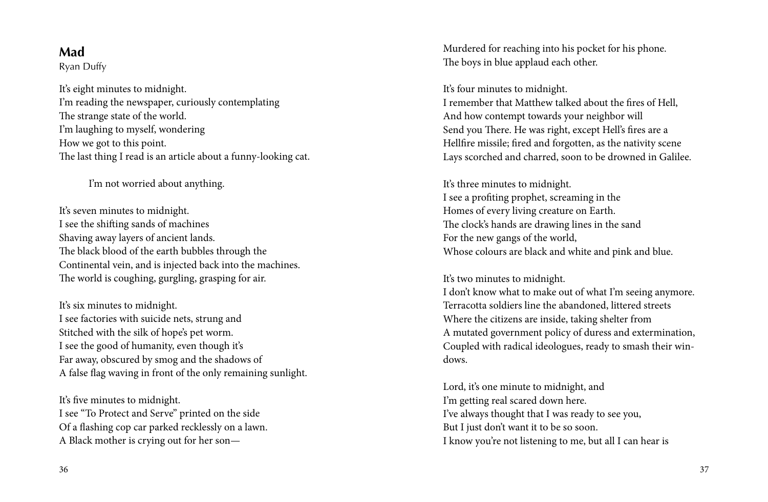Ryan Duffy

It's eight minutes to midnight. I'm reading the newspaper, curiously contemplating The strange state of the world. I'm laughing to myself, wondering How we got to this point. The last thing I read is an article about a funny-looking cat.

I'm not worried about anything.

It's seven minutes to midnight. I see the shifting sands of machines Shaving away layers of ancient lands. The black blood of the earth bubbles through the Continental vein, and is injected back into the machines. The world is coughing, gurgling, grasping for air.

It's six minutes to midnight. I see factories with suicide nets, strung and Stitched with the silk of hope's pet worm. I see the good of humanity, even though it's Far away, obscured by smog and the shadows of A false flag waving in front of the only remaining sunlight.

It's five minutes to midnight. I see "To Protect and Serve" printed on the side Of a flashing cop car parked recklessly on a lawn. A Black mother is crying out for her son—

**Mad** Murdered for reaching into his pocket for his phone. The boys in blue applaud each other.

#### It's four minutes to midnight.

I remember that Matthew talked about the fires of Hell, And how contempt towards your neighbor will Send you There. He was right, except Hell's fires are a Hellfire missile; fired and forgotten, as the nativity scene Lays scorched and charred, soon to be drowned in Galilee.

It's three minutes to midnight. I see a profiting prophet, screaming in the Homes of every living creature on Earth. The clock's hands are drawing lines in the sand For the new gangs of the world, Whose colours are black and white and pink and blue.

#### It's two minutes to midnight.

I don't know what to make out of what I'm seeing anymore. Terracotta soldiers line the abandoned, littered streets Where the citizens are inside, taking shelter from A mutated government policy of duress and extermination, Coupled with radical ideologues, ready to smash their windows.

Lord, it's one minute to midnight, and I'm getting real scared down here. I've always thought that I was ready to see you, But I just don't want it to be so soon. I know you're not listening to me, but all I can hear is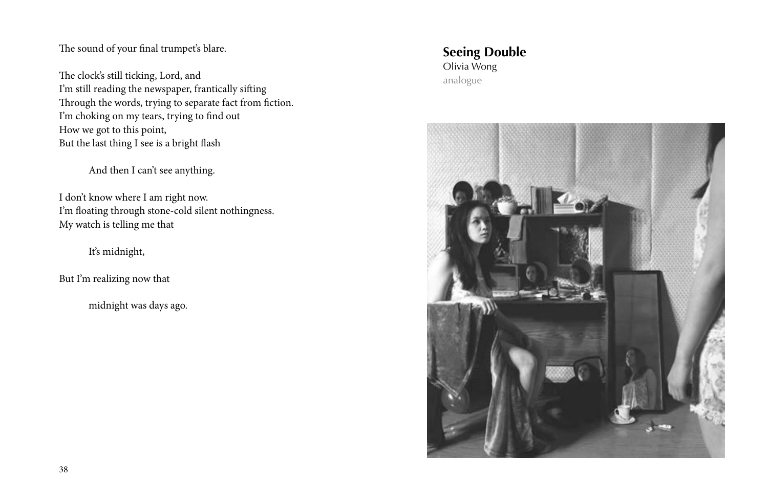The sound of your final trumpet's blare.

The clock's still ticking, Lord, and I'm still reading the newspaper, frantically sifting Through the words, trying to separate fact from fiction. I'm choking on my tears, trying to find out How we got to this point, But the last thing I see is a bright flash

And then I can't see anything.

I don't know where I am right now. I'm floating through stone-cold silent nothingness. My watch is telling me that

It's midnight,

But I'm realizing now that

midnight was days ago.

#### analogue Olivia Wong **Seeing Double**

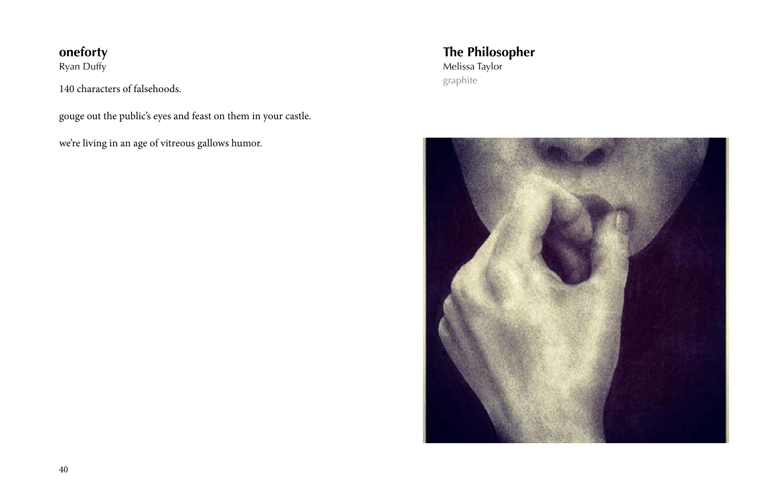# **oneforty**

Ryan Duffy

140 characters of falsehoods.

gouge out the public's eyes and feast on them in your castle.

we're living in an age of vitreous gallows humor.

graphite Melissa Taylor **The Philosopher**

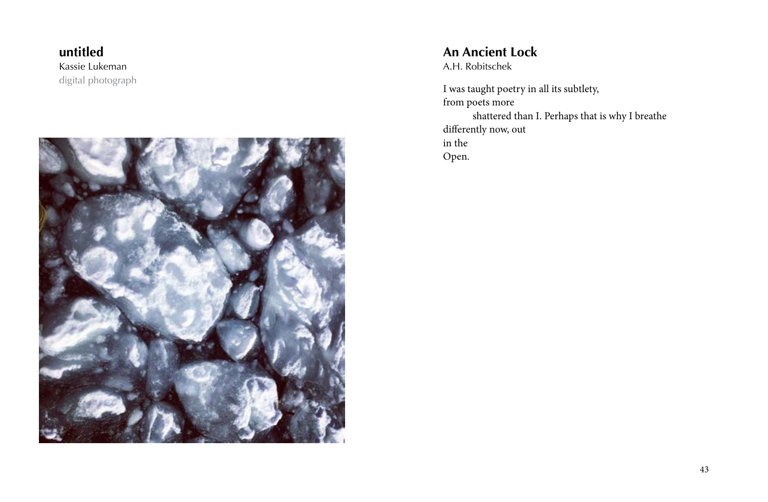digital photograph Kassie Lukeman **untitled**



#### A.H. Robitschek **An Ancient Lock**

I was taught poetry in all its subtlety, from poets more shattered than I. Perhaps that is why I breathe differently now, out in the Open.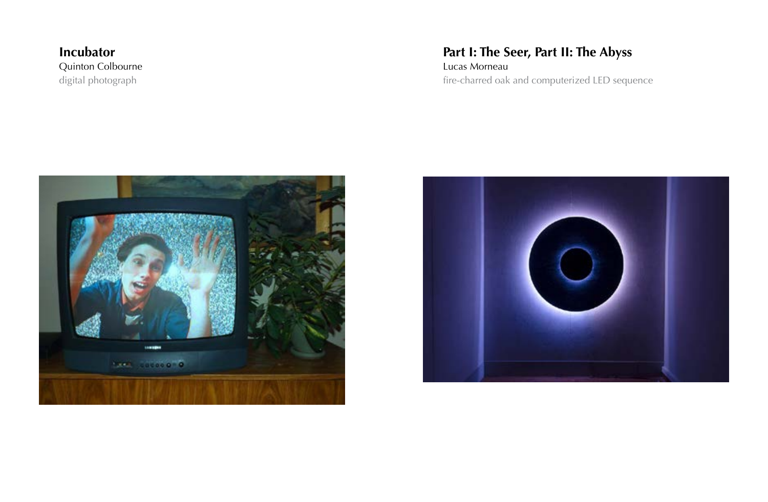digital photograph Quinton Colbourne **Incubator**

# **Part I: The Seer, Part II: The Abyss**

fire-charred oak and computerized LED sequence Lucas Morneau



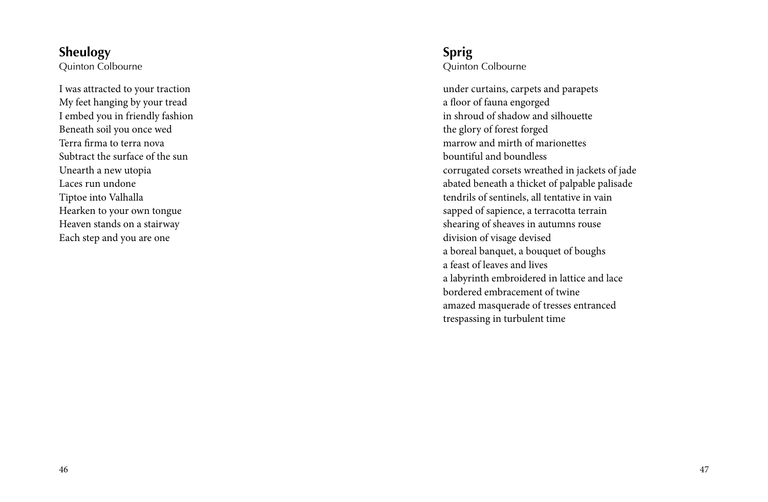# **Sheulogy**

Quinton Colbourne

I was attracted to your traction My feet hanging by your tread I embed you in friendly fashion Beneath soil you once wed Terra firma to terra nova Subtract the surface of the sun Unearth a new utopia Laces run undone Tiptoe into Valhalla Hearken to your own tongue Heaven stands on a stairway Each step and you are one

### Quinton Colbourne **Sprig**

under curtains, carpets and parapets a floor of fauna engorged in shroud of shadow and silhouette the glory of forest forged marrow and mirth of marionettes bountiful and boundless corrugated corsets wreathed in jackets of jade abated beneath a thicket of palpable palisade tendrils of sentinels, all tentative in vain sapped of sapience, a terracotta terrain shearing of sheaves in autumns rouse division of visage devised a boreal banquet, a bouquet of boughs a feast of leaves and lives a labyrinth embroidered in lattice and lace bordered embracement of twine amazed masquerade of tresses entranced trespassing in turbulent time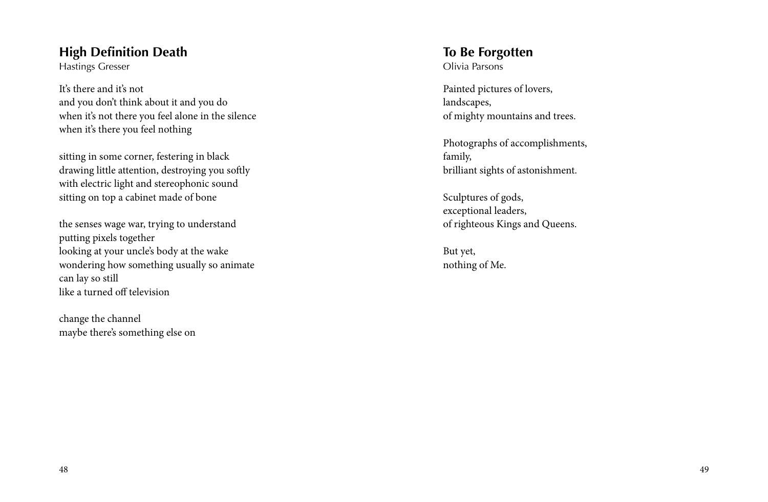### **High Definition Death**

Hastings Gresser

It's there and it's not and you don't think about it and you do when it's not there you feel alone in the silence when it's there you feel nothing

sitting in some corner, festering in black drawing little attention, destroying you softly with electric light and stereophonic sound sitting on top a cabinet made of bone

the senses wage war, trying to understand putting pixels together looking at your uncle's body at the wake wondering how something usually so animate can lay so still like a turned off television

change the channel maybe there's something else on Olivia Parsons **To Be Forgotten**

Painted pictures of lovers, landscapes, of mighty mountains and trees.

Photographs of accomplishments, family, brilliant sights of astonishment.

Sculptures of gods, exceptional leaders, of righteous Kings and Queens.

But yet, nothing of Me.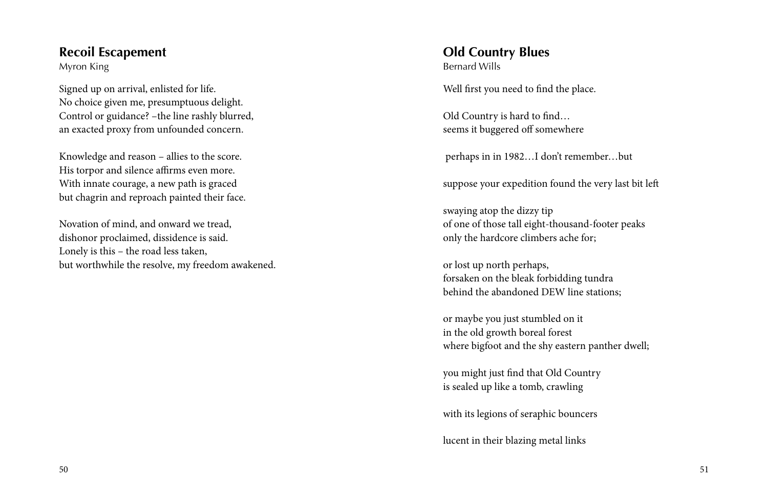## **Recoil Escapement**

Myron King

Signed up on arrival, enlisted for life. No choice given me, presumptuous delight. Control or guidance? –the line rashly blurred, an exacted proxy from unfounded concern.

Knowledge and reason – allies to the score. His torpor and silence affirms even more. With innate courage, a new path is graced but chagrin and reproach painted their face.

Novation of mind, and onward we tread, dishonor proclaimed, dissidence is said. Lonely is this – the road less taken, but worthwhile the resolve, my freedom awakened. Bernard Wills **Old Country Blues**

Well first you need to find the place.

Old Country is hard to find… seems it buggered off somewhere

perhaps in in 1982…I don't remember…but

suppose your expedition found the very last bit left

swaying atop the dizzy tip of one of those tall eight-thousand-footer peaks only the hardcore climbers ache for;

or lost up north perhaps, forsaken on the bleak forbidding tundra behind the abandoned DEW line stations;

or maybe you just stumbled on it in the old growth boreal forest where bigfoot and the shy eastern panther dwell;

you might just find that Old Country is sealed up like a tomb, crawling

with its legions of seraphic bouncers

lucent in their blazing metal links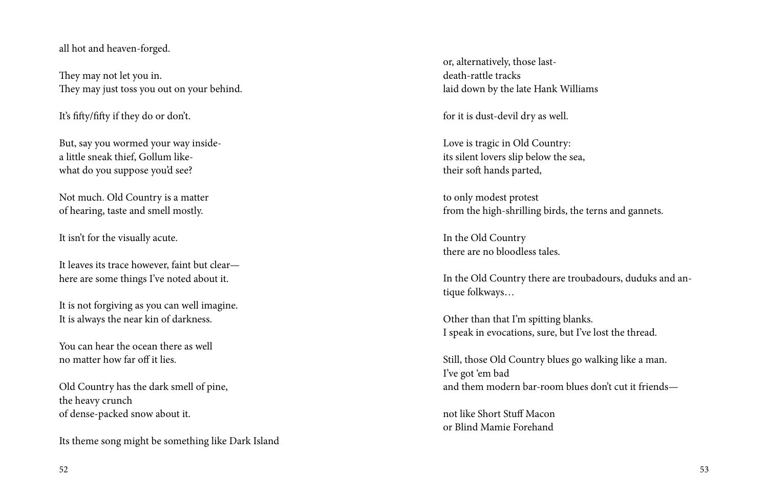#### all hot and heaven-forged.

They may not let you in. They may just toss you out on your behind.

It's fifty/fifty if they do or don't.

But, say you wormed your way insidea little sneak thief, Gollum likewhat do you suppose you'd see?

Not much. Old Country is a matter of hearing, taste and smell mostly.

It isn't for the visually acute.

It leaves its trace however, faint but clear here are some things I've noted about it.

It is not forgiving as you can well imagine. It is always the near kin of darkness.

You can hear the ocean there as well no matter how far off it lies.

Old Country has the dark smell of pine, the heavy crunch of dense-packed snow about it.

Its theme song might be something like Dark Island

or, alternatively, those lastdeath-rattle tracks laid down by the late Hank Williams

for it is dust-devil dry as well.

Love is tragic in Old Country: its silent lovers slip below the sea, their soft hands parted,

to only modest protest from the high-shrilling birds, the terns and gannets.

In the Old Country there are no bloodless tales.

In the Old Country there are troubadours, duduks and antique folkways…

Other than that I'm spitting blanks. I speak in evocations, sure, but I've lost the thread.

Still, those Old Country blues go walking like a man. I've got 'em bad and them modern bar-room blues don't cut it friends—

not like Short Stuff Macon or Blind Mamie Forehand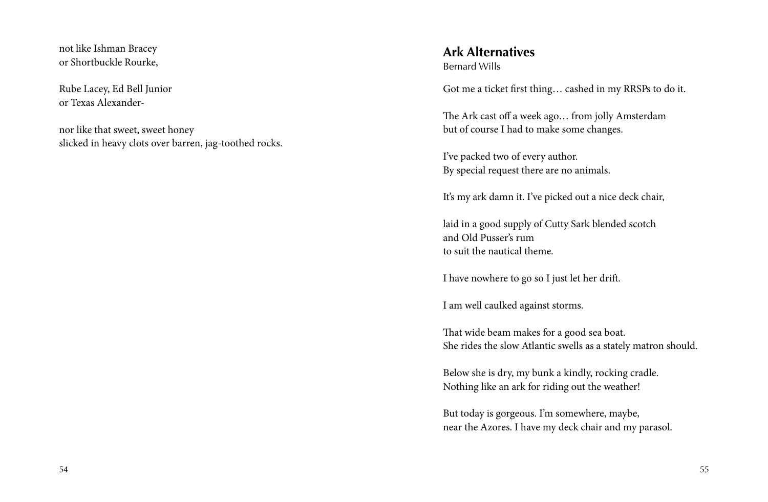not like Ishman Bracey or Shortbuckle Rourke,

Rube Lacey, Ed Bell Junior or Texas Alexander-

nor like that sweet, sweet honey slicked in heavy clots over barren, jag-toothed rocks. Bernard Wills **Ark Alternatives** 

Got me a ticket first thing… cashed in my RRSPs to do it.

The Ark cast off a week ago… from jolly Amsterdam but of course I had to make some changes.

I've packed two of every author. By special request there are no animals.

It's my ark damn it. I've picked out a nice deck chair,

laid in a good supply of Cutty Sark blended scotch and Old Pusser's rum to suit the nautical theme.

I have nowhere to go so I just let her drift.

I am well caulked against storms.

That wide beam makes for a good sea boat. She rides the slow Atlantic swells as a stately matron should.

Below she is dry, my bunk a kindly, rocking cradle. Nothing like an ark for riding out the weather!

But today is gorgeous. I'm somewhere, maybe, near the Azores. I have my deck chair and my parasol.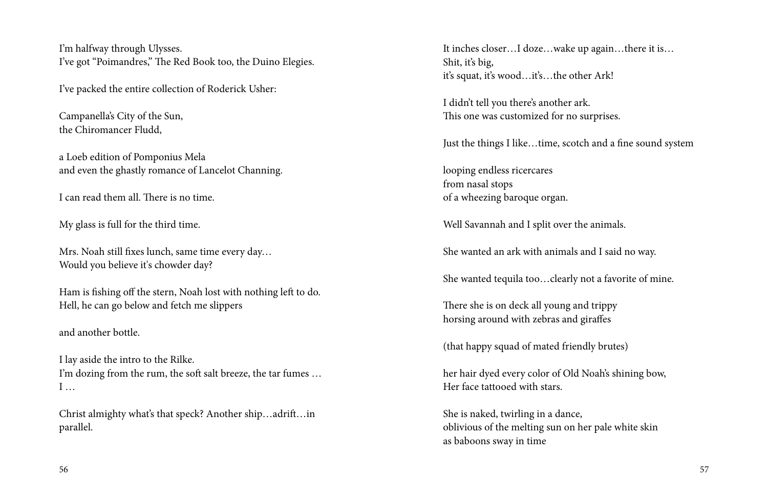I'm halfway through Ulysses. I've got "Poimandres," The Red Book too, the Duino Elegies.

I've packed the entire collection of Roderick Usher:

Campanella's City of the Sun, the Chiromancer Fludd,

a Loeb edition of Pomponius Mela and even the ghastly romance of Lancelot Channing.

I can read them all. There is no time.

My glass is full for the third time.

Mrs. Noah still fixes lunch, same time every day… Would you believe it's chowder day?

Ham is fishing off the stern, Noah lost with nothing left to do. Hell, he can go below and fetch me slippers

and another bottle.

I lay aside the intro to the Rilke. I'm dozing from the rum, the soft salt breeze, the tar fumes … I …

Christ almighty what's that speck? Another ship…adrift…in parallel.

It inches closer…I doze…wake up again…there it is… Shit, it's big, it's squat, it's wood…it's…the other Ark!

I didn't tell you there's another ark. This one was customized for no surprises.

Just the things I like…time, scotch and a fine sound system

looping endless ricercares from nasal stops of a wheezing baroque organ.

Well Savannah and I split over the animals.

She wanted an ark with animals and I said no way.

She wanted tequila too…clearly not a favorite of mine.

There she is on deck all young and trippy horsing around with zebras and giraffes

(that happy squad of mated friendly brutes)

her hair dyed every color of Old Noah's shining bow, Her face tattooed with stars.

She is naked, twirling in a dance, oblivious of the melting sun on her pale white skin as baboons sway in time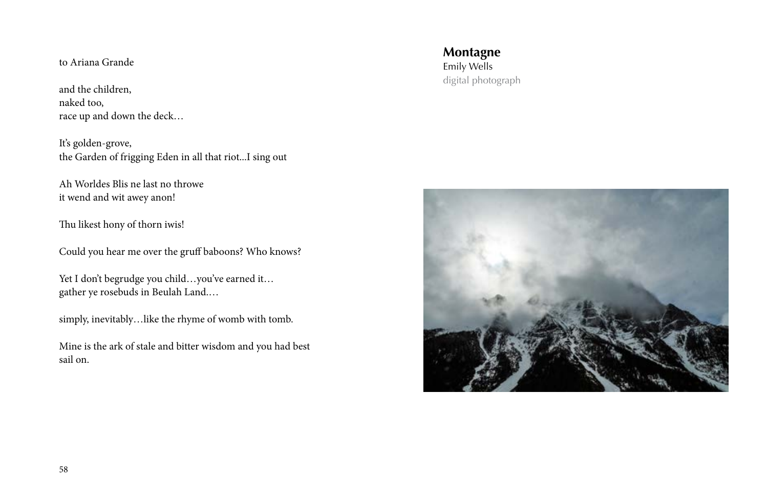and the children, naked too, race up and down the deck…

It's golden-grove, the Garden of frigging Eden in all that riot...I sing out

Ah Worldes Blis ne last no throwe it wend and wit awey anon!

Thu likest hony of thorn iwis!

Could you hear me over the gruff baboons? Who knows?

Yet I don't begrudge you child…you've earned it… gather ye rosebuds in Beulah Land.…

simply, inevitably…like the rhyme of womb with tomb.

Mine is the ark of stale and bitter wisdom and you had best sail on.

digital photograph Emily Wells **Montagne** to Ariana Grande

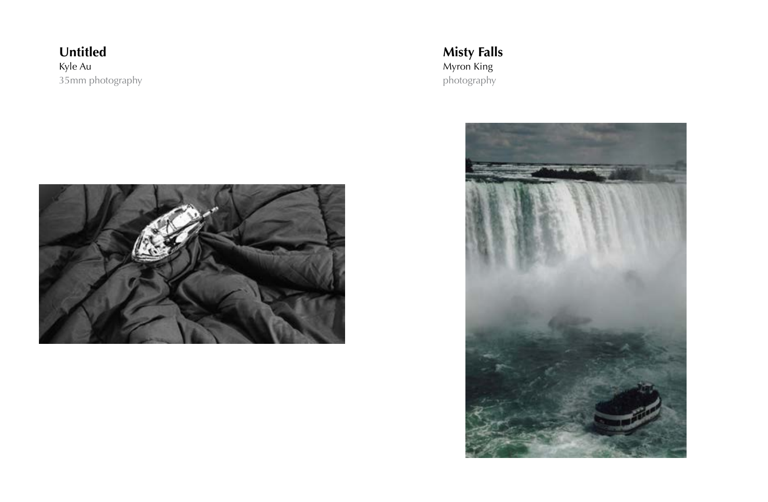35mm photography **Untitled** Kyle Au Myron King



photography **Misty Falls**

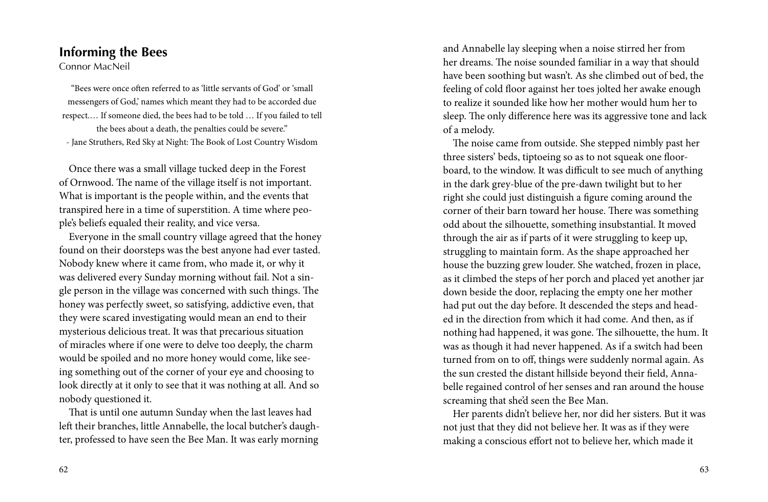#### **Informing the Bees**

Connor MacNeil

"Bees were once often referred to as 'little servants of God' or 'small messengers of God,' names which meant they had to be accorded due respect.… If someone died, the bees had to be told … If you failed to tell the bees about a death, the penalties could be severe." - Jane Struthers, Red Sky at Night: The Book of Lost Country Wisdom

 Once there was a small village tucked deep in the Forest of Ornwood. The name of the village itself is not important. What is important is the people within, and the events that transpired here in a time of superstition. A time where people's beliefs equaled their reality, and vice versa.

 Everyone in the small country village agreed that the honey found on their doorsteps was the best anyone had ever tasted. Nobody knew where it came from, who made it, or why it was delivered every Sunday morning without fail. Not a single person in the village was concerned with such things. The honey was perfectly sweet, so satisfying, addictive even, that they were scared investigating would mean an end to their mysterious delicious treat. It was that precarious situation of miracles where if one were to delve too deeply, the charm would be spoiled and no more honey would come, like seeing something out of the corner of your eye and choosing to look directly at it only to see that it was nothing at all. And so nobody questioned it.

 That is until one autumn Sunday when the last leaves had left their branches, little Annabelle, the local butcher's daughter, professed to have seen the Bee Man. It was early morning and Annabelle lay sleeping when a noise stirred her from her dreams. The noise sounded familiar in a way that should have been soothing but wasn't. As she climbed out of bed, the feeling of cold floor against her toes jolted her awake enough to realize it sounded like how her mother would hum her to sleep. The only difference here was its aggressive tone and lack of a melody.

 The noise came from outside. She stepped nimbly past her three sisters' beds, tiptoeing so as to not squeak one floorboard, to the window. It was difficult to see much of anything in the dark grey-blue of the pre-dawn twilight but to her right she could just distinguish a figure coming around the corner of their barn toward her house. There was something odd about the silhouette, something insubstantial. It moved through the air as if parts of it were struggling to keep up, struggling to maintain form. As the shape approached her house the buzzing grew louder. She watched, frozen in place, as it climbed the steps of her porch and placed yet another jar down beside the door, replacing the empty one her mother had put out the day before. It descended the steps and headed in the direction from which it had come. And then, as if nothing had happened, it was gone. The silhouette, the hum. It was as though it had never happened. As if a switch had been turned from on to off, things were suddenly normal again. As the sun crested the distant hillside beyond their field, Annabelle regained control of her senses and ran around the house screaming that she'd seen the Bee Man.

 Her parents didn't believe her, nor did her sisters. But it was not just that they did not believe her. It was as if they were making a conscious effort not to believe her, which made it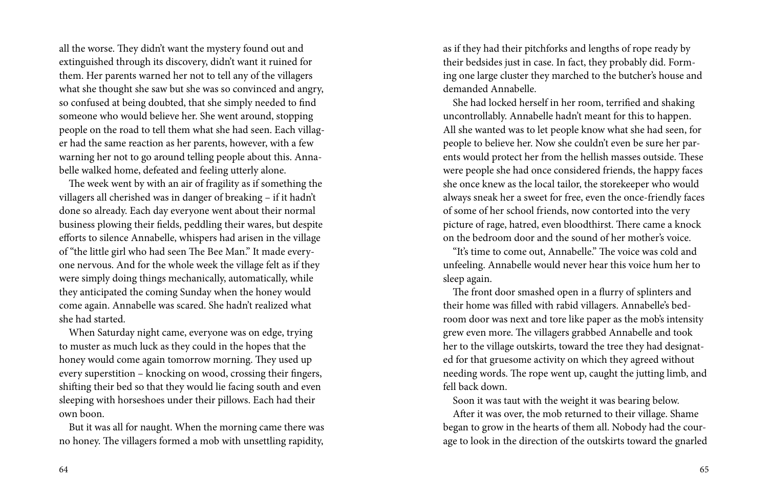all the worse. They didn't want the mystery found out and extinguished through its discovery, didn't want it ruined for them. Her parents warned her not to tell any of the villagers what she thought she saw but she was so convinced and angry, so confused at being doubted, that she simply needed to find someone who would believe her. She went around, stopping people on the road to tell them what she had seen. Each villager had the same reaction as her parents, however, with a few warning her not to go around telling people about this. Annabelle walked home, defeated and feeling utterly alone.

 The week went by with an air of fragility as if something the villagers all cherished was in danger of breaking – if it hadn't done so already. Each day everyone went about their normal business plowing their fields, peddling their wares, but despite efforts to silence Annabelle, whispers had arisen in the village of "the little girl who had seen The Bee Man." It made everyone nervous. And for the whole week the village felt as if they were simply doing things mechanically, automatically, while they anticipated the coming Sunday when the honey would come again. Annabelle was scared. She hadn't realized what she had started.

 When Saturday night came, everyone was on edge, trying to muster as much luck as they could in the hopes that the honey would come again tomorrow morning. They used up every superstition – knocking on wood, crossing their fingers, shifting their bed so that they would lie facing south and even sleeping with horseshoes under their pillows. Each had their own boon.

 But it was all for naught. When the morning came there was no honey. The villagers formed a mob with unsettling rapidity, as if they had their pitchforks and lengths of rope ready by their bedsides just in case. In fact, they probably did. Forming one large cluster they marched to the butcher's house and demanded Annabelle.

 She had locked herself in her room, terrified and shaking uncontrollably. Annabelle hadn't meant for this to happen. All she wanted was to let people know what she had seen, for people to believe her. Now she couldn't even be sure her parents would protect her from the hellish masses outside. These were people she had once considered friends, the happy faces she once knew as the local tailor, the storekeeper who would always sneak her a sweet for free, even the once-friendly faces of some of her school friends, now contorted into the very picture of rage, hatred, even bloodthirst. There came a knock on the bedroom door and the sound of her mother's voice.

 "It's time to come out, Annabelle." The voice was cold and unfeeling. Annabelle would never hear this voice hum her to sleep again.

 The front door smashed open in a flurry of splinters and their home was filled with rabid villagers. Annabelle's bedroom door was next and tore like paper as the mob's intensity grew even more. The villagers grabbed Annabelle and took her to the village outskirts, toward the tree they had designated for that gruesome activity on which they agreed without needing words. The rope went up, caught the jutting limb, and fell back down.

Soon it was taut with the weight it was bearing below.

 After it was over, the mob returned to their village. Shame began to grow in the hearts of them all. Nobody had the courage to look in the direction of the outskirts toward the gnarled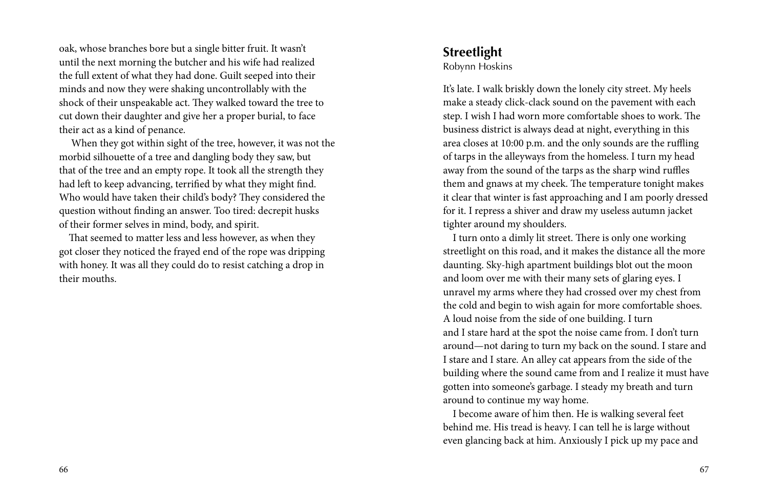oak, whose branches bore but a single bitter fruit. It wasn't **Streetlight** until the next morning the butcher and his wife had realized the full extent of what they had done. Guilt seeped into their minds and now they were shaking uncontrollably with the shock of their unspeakable act. They walked toward the tree to cut down their daughter and give her a proper burial, to face their act as a kind of penance.

 When they got within sight of the tree, however, it was not the morbid silhouette of a tree and dangling body they saw, but that of the tree and an empty rope. It took all the strength they had left to keep advancing, terrified by what they might find. Who would have taken their child's body? They considered the question without finding an answer. Too tired: decrepit husks of their former selves in mind, body, and spirit.

 That seemed to matter less and less however, as when they got closer they noticed the frayed end of the rope was dripping with honey. It was all they could do to resist catching a drop in their mouths.

Robynn Hoskins

It's late. I walk briskly down the lonely city street. My heels make a steady click-clack sound on the pavement with each step. I wish I had worn more comfortable shoes to work. The business district is always dead at night, everything in this area closes at 10:00 p.m. and the only sounds are the ruffling of tarps in the alleyways from the homeless. I turn my head away from the sound of the tarps as the sharp wind ruffles them and gnaws at my cheek. The temperature tonight makes it clear that winter is fast approaching and I am poorly dressed for it. I repress a shiver and draw my useless autumn jacket tighter around my shoulders.

 I turn onto a dimly lit street. There is only one working streetlight on this road, and it makes the distance all the more daunting. Sky-high apartment buildings blot out the moon and loom over me with their many sets of glaring eyes. I unravel my arms where they had crossed over my chest from the cold and begin to wish again for more comfortable shoes. A loud noise from the side of one building. I turn and I stare hard at the spot the noise came from. I don't turn around—not daring to turn my back on the sound. I stare and I stare and I stare. An alley cat appears from the side of the building where the sound came from and I realize it must have gotten into someone's garbage. I steady my breath and turn around to continue my way home.

 I become aware of him then. He is walking several feet behind me. His tread is heavy. I can tell he is large without even glancing back at him. Anxiously I pick up my pace and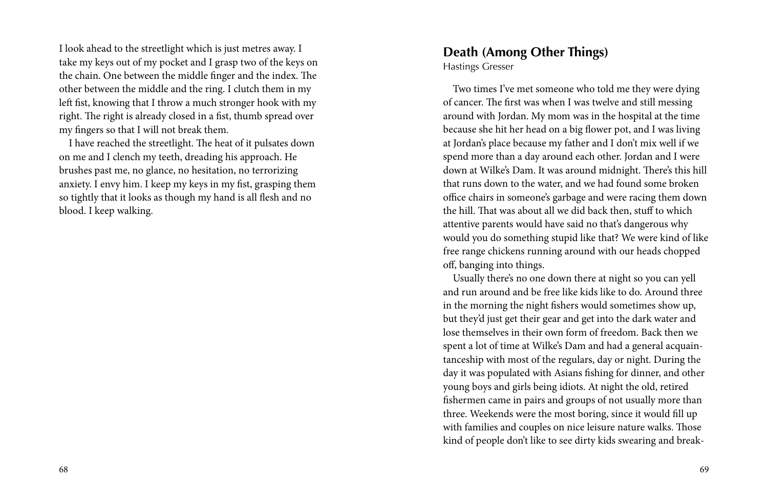**Death (Among Other Things)** I look ahead to the streetlight which is just metres away. I take my keys out of my pocket and I grasp two of the keys on the chain. One between the middle finger and the index. The other between the middle and the ring. I clutch them in my left fist, knowing that I throw a much stronger hook with my right. The right is already closed in a fist, thumb spread over my fingers so that I will not break them.

 I have reached the streetlight. The heat of it pulsates down on me and I clench my teeth, dreading his approach. He brushes past me, no glance, no hesitation, no terrorizing anxiety. I envy him. I keep my keys in my fist, grasping them so tightly that it looks as though my hand is all flesh and no blood. I keep walking.

Hastings Gresser

 Two times I've met someone who told me they were dying of cancer. The first was when I was twelve and still messing around with Jordan. My mom was in the hospital at the time because she hit her head on a big flower pot, and I was living at Jordan's place because my father and I don't mix well if we spend more than a day around each other. Jordan and I were down at Wilke's Dam. It was around midnight. There's this hill that runs down to the water, and we had found some broken office chairs in someone's garbage and were racing them down the hill. That was about all we did back then, stuff to which attentive parents would have said no that's dangerous why would you do something stupid like that? We were kind of like free range chickens running around with our heads chopped off, banging into things.

 Usually there's no one down there at night so you can yell and run around and be free like kids like to do. Around three in the morning the night fishers would sometimes show up, but they'd just get their gear and get into the dark water and lose themselves in their own form of freedom. Back then we spent a lot of time at Wilke's Dam and had a general acquaintanceship with most of the regulars, day or night. During the day it was populated with Asians fishing for dinner, and other young boys and girls being idiots. At night the old, retired fishermen came in pairs and groups of not usually more than three. Weekends were the most boring, since it would fill up with families and couples on nice leisure nature walks. Those kind of people don't like to see dirty kids swearing and break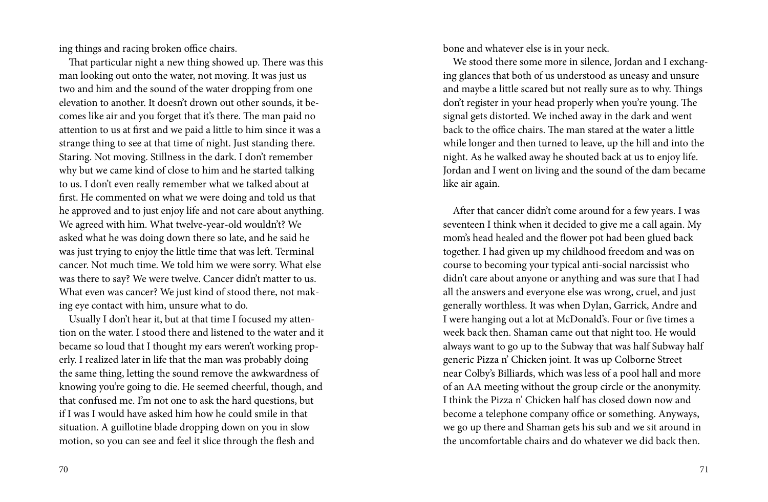ing things and racing broken office chairs.

 That particular night a new thing showed up. There was this man looking out onto the water, not moving. It was just us two and him and the sound of the water dropping from one elevation to another. It doesn't drown out other sounds, it becomes like air and you forget that it's there. The man paid no attention to us at first and we paid a little to him since it was a strange thing to see at that time of night. Just standing there. Staring. Not moving. Stillness in the dark. I don't remember why but we came kind of close to him and he started talking to us. I don't even really remember what we talked about at first. He commented on what we were doing and told us that he approved and to just enjoy life and not care about anything. We agreed with him. What twelve-year-old wouldn't? We asked what he was doing down there so late, and he said he was just trying to enjoy the little time that was left. Terminal cancer. Not much time. We told him we were sorry. What else was there to say? We were twelve. Cancer didn't matter to us. What even was cancer? We just kind of stood there, not making eye contact with him, unsure what to do.

 Usually I don't hear it, but at that time I focused my attention on the water. I stood there and listened to the water and it became so loud that I thought my ears weren't working properly. I realized later in life that the man was probably doing the same thing, letting the sound remove the awkwardness of knowing you're going to die. He seemed cheerful, though, and that confused me. I'm not one to ask the hard questions, but if I was I would have asked him how he could smile in that situation. A guillotine blade dropping down on you in slow motion, so you can see and feel it slice through the flesh and

bone and whatever else is in your neck.

 We stood there some more in silence, Jordan and I exchanging glances that both of us understood as uneasy and unsure and maybe a little scared but not really sure as to why. Things don't register in your head properly when you're young. The signal gets distorted. We inched away in the dark and went back to the office chairs. The man stared at the water a little while longer and then turned to leave, up the hill and into the night. As he walked away he shouted back at us to enjoy life. Jordan and I went on living and the sound of the dam became like air again.

 After that cancer didn't come around for a few years. I was seventeen I think when it decided to give me a call again. My mom's head healed and the flower pot had been glued back together. I had given up my childhood freedom and was on course to becoming your typical anti-social narcissist who didn't care about anyone or anything and was sure that I had all the answers and everyone else was wrong, cruel, and just generally worthless. It was when Dylan, Garrick, Andre and I were hanging out a lot at McDonald's. Four or five times a week back then. Shaman came out that night too. He would always want to go up to the Subway that was half Subway half generic Pizza n' Chicken joint. It was up Colborne Street near Colby's Billiards, which was less of a pool hall and more of an AA meeting without the group circle or the anonymity. I think the Pizza n' Chicken half has closed down now and become a telephone company office or something. Anyways, we go up there and Shaman gets his sub and we sit around in the uncomfortable chairs and do whatever we did back then.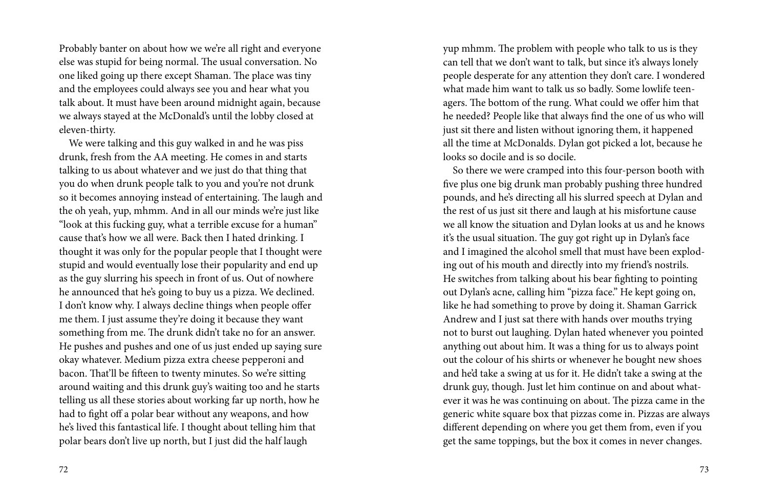Probably banter on about how we we're all right and everyone else was stupid for being normal. The usual conversation. No one liked going up there except Shaman. The place was tiny and the employees could always see you and hear what you talk about. It must have been around midnight again, because we always stayed at the McDonald's until the lobby closed at eleven-thirty.

 We were talking and this guy walked in and he was piss drunk, fresh from the AA meeting. He comes in and starts talking to us about whatever and we just do that thing that you do when drunk people talk to you and you're not drunk so it becomes annoying instead of entertaining. The laugh and the oh yeah, yup, mhmm. And in all our minds we're just like "look at this fucking guy, what a terrible excuse for a human" cause that's how we all were. Back then I hated drinking. I thought it was only for the popular people that I thought were stupid and would eventually lose their popularity and end up as the guy slurring his speech in front of us. Out of nowhere he announced that he's going to buy us a pizza. We declined. I don't know why. I always decline things when people offer me them. I just assume they're doing it because they want something from me. The drunk didn't take no for an answer. He pushes and pushes and one of us just ended up saying sure okay whatever. Medium pizza extra cheese pepperoni and bacon. That'll be fifteen to twenty minutes. So we're sitting around waiting and this drunk guy's waiting too and he starts telling us all these stories about working far up north, how he had to fight off a polar bear without any weapons, and how he's lived this fantastical life. I thought about telling him that polar bears don't live up north, but I just did the half laugh

yup mhmm. The problem with people who talk to us is they can tell that we don't want to talk, but since it's always lonely people desperate for any attention they don't care. I wondered what made him want to talk us so badly. Some lowlife teenagers. The bottom of the rung. What could we offer him that he needed? People like that always find the one of us who will just sit there and listen without ignoring them, it happened all the time at McDonalds. Dylan got picked a lot, because he looks so docile and is so docile.

 So there we were cramped into this four-person booth with five plus one big drunk man probably pushing three hundred pounds, and he's directing all his slurred speech at Dylan and the rest of us just sit there and laugh at his misfortune cause we all know the situation and Dylan looks at us and he knows it's the usual situation. The guy got right up in Dylan's face and I imagined the alcohol smell that must have been exploding out of his mouth and directly into my friend's nostrils. He switches from talking about his bear fighting to pointing out Dylan's acne, calling him "pizza face." He kept going on, like he had something to prove by doing it. Shaman Garrick Andrew and I just sat there with hands over mouths trying not to burst out laughing. Dylan hated whenever you pointed anything out about him. It was a thing for us to always point out the colour of his shirts or whenever he bought new shoes and he'd take a swing at us for it. He didn't take a swing at the drunk guy, though. Just let him continue on and about whatever it was he was continuing on about. The pizza came in the generic white square box that pizzas come in. Pizzas are always different depending on where you get them from, even if you get the same toppings, but the box it comes in never changes.